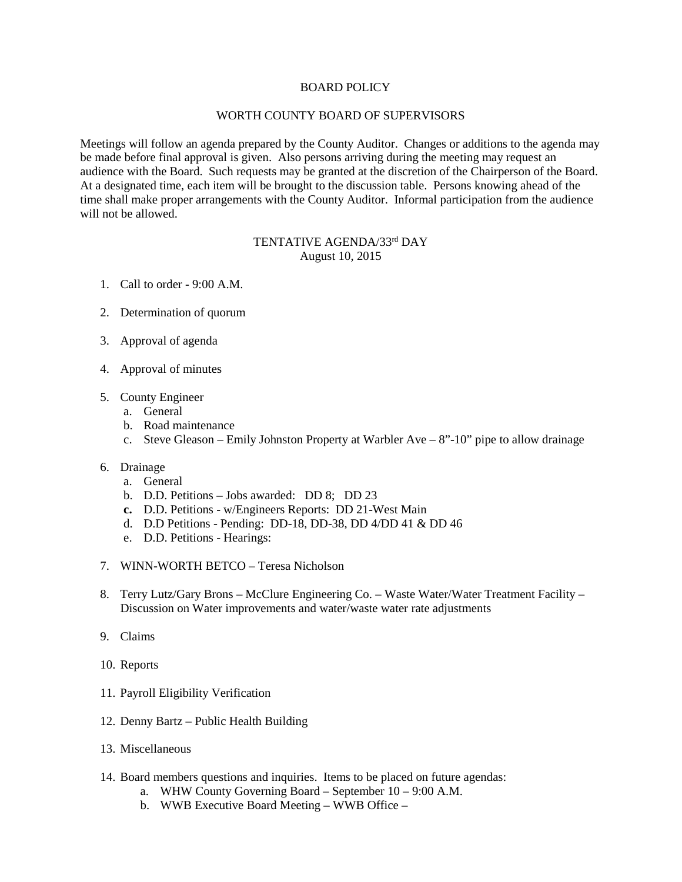## BOARD POLICY

## WORTH COUNTY BOARD OF SUPERVISORS

Meetings will follow an agenda prepared by the County Auditor. Changes or additions to the agenda may be made before final approval is given. Also persons arriving during the meeting may request an audience with the Board. Such requests may be granted at the discretion of the Chairperson of the Board. At a designated time, each item will be brought to the discussion table. Persons knowing ahead of the time shall make proper arrangements with the County Auditor. Informal participation from the audience will not be allowed.

## TENTATIVE AGENDA/33rd DAY August 10, 2015

- 1. Call to order 9:00 A.M.
- 2. Determination of quorum
- 3. Approval of agenda
- 4. Approval of minutes
- 5. County Engineer
	- a. General
	- b. Road maintenance
	- c. Steve Gleason Emily Johnston Property at Warbler Ave 8"-10" pipe to allow drainage
- 6. Drainage
	- a. General
	- b. D.D. Petitions Jobs awarded: DD 8; DD 23
	- **c.** D.D. Petitions w/Engineers Reports: DD 21-West Main
	- d. D.D Petitions Pending: DD-18, DD-38, DD 4/DD 41 & DD 46
	- e. D.D. Petitions Hearings:
- 7. WINN-WORTH BETCO Teresa Nicholson
- 8. Terry Lutz/Gary Brons McClure Engineering Co. Waste Water/Water Treatment Facility Discussion on Water improvements and water/waste water rate adjustments
- 9. Claims
- 10. Reports
- 11. Payroll Eligibility Verification
- 12. Denny Bartz Public Health Building
- 13. Miscellaneous
- 14. Board members questions and inquiries. Items to be placed on future agendas:
	- a. WHW County Governing Board September 10 9:00 A.M.
	- b. WWB Executive Board Meeting WWB Office –